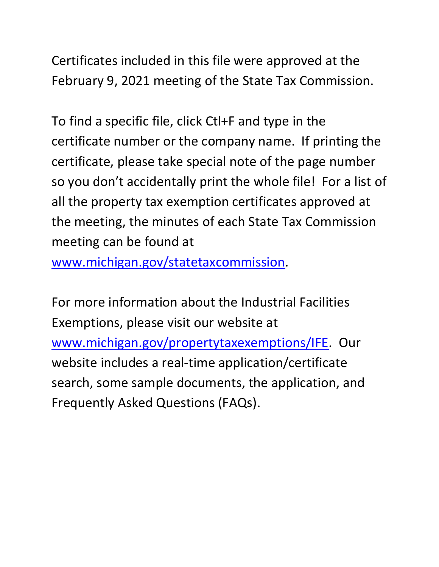Certificates included in this file were approved at the February 9, 2021 meeting of the State Tax Commission.

 certificate number or the company name. If printing the so you don't accidentally print the whole file! For a list of To find a specific file, click Ctl+F and type in the certificate, please take special note of the page number all the property tax exemption certificates approved at the meeting, the minutes of each State Tax Commission meeting can be found at

[www.michigan.gov/statetaxcommission.](http://www.michigan.gov/statetaxcommission)

For more information about the Industrial Facilities Exemptions, please visit our website at [www.michigan.gov/propertytaxexemptions/IFE.](http://www.michigan.gov/taxes/0,1607,7-238-43535_53197-213175--,00.html) Our website includes a real-time application/certificate search, some sample documents, the application, and Frequently Asked Questions (FAQs).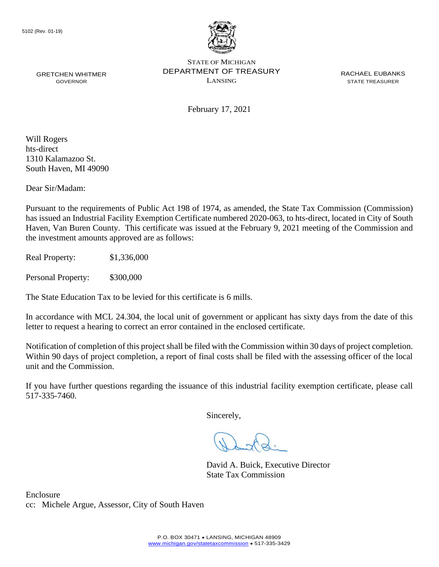

GRETCHEN WHITMER **EXAMPLE PERARTMENT OF TREASURY** EXACT ACHAEL EUBANKS STATE OF MICHIGAN GOVERNOR LANSING STATE TREASURER

February 17, 2021

Will Rogers hts-direct 1310 Kalamazoo St. South Haven, MI 49090

Dear Sir/Madam:

 Haven, Van Buren County. This certificate was issued at the February 9, 2021 meeting of the Commission and Pursuant to the requirements of Public Act 198 of 1974, as amended, the State Tax Commission (Commission) has issued an Industrial Facility Exemption Certificate numbered 2020-063, to hts-direct, located in City of South the investment amounts approved are as follows:

Real Property: \$1,336,000

Personal Property: \$300,000

The State Education Tax to be levied for this certificate is 6 mills.

In accordance with MCL 24.304, the local unit of government or applicant has sixty days from the date of this letter to request a hearing to correct an error contained in the enclosed certificate.

 Notification of completion of this project shall be filed with the Commission within 30 days of project completion. Within 90 days of project completion, a report of final costs shall be filed with the assessing officer of the local unit and the Commission.

 If you have further questions regarding the issuance of this industrial facility exemption certificate, please call 517-335-7460.

Sincerely,

David A. Buick, Executive Director State Tax Commission

Enclosure cc: Michele Argue, Assessor, City of South Haven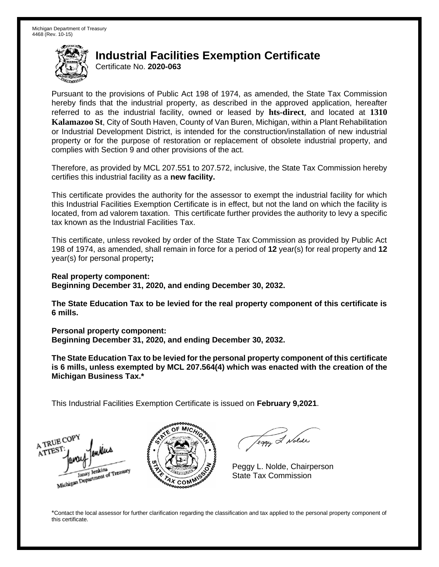## **Industrial Facilities Exemption Certificate**

Certificate No. **2020-063** 

 Pursuant to the provisions of Public Act 198 of 1974, as amended, the State Tax Commission hereby finds that the industrial property, as described in the approved application, hereafter referred to as the industrial facility, owned or leased by **hts-direct**, and located at **1310 Kalamazoo St**, City of South Haven, County of Van Buren, Michigan, within a Plant Rehabilitation or Industrial Development District, is intended for the construction/installation of new industrial property or for the purpose of restoration or replacement of obsolete industrial property, and complies with Section 9 and other provisions of the act.

 Therefore, as provided by MCL 207.551 to 207.572, inclusive, the State Tax Commission hereby certifies this industrial facility as a **new facility.** 

 This certificate provides the authority for the assessor to exempt the industrial facility for which this Industrial Facilities Exemption Certificate is in effect, but not the land on which the facility is located, from ad valorem taxation. This certificate further provides the authority to levy a specific tax known as the Industrial Facilities Tax.

 This certificate, unless revoked by order of the State Tax Commission as provided by Public Act 198 of 1974, as amended, shall remain in force for a period of **12** year(s) for real property and **12**  year(s) for personal property**;** 

 **Real property component: Beginning December 31, 2020, and ending December 30, 2032.** 

 **The State Education Tax to be levied for the real property component of this certificate is 6 mills.** 

 **Personal property component:** 

 **Beginning December 31, 2020, and ending December 30, 2032.** 

 **The State Education Tax to be levied for the personal property component of this certificate is 6 mills, unless exempted by MCL 207.564(4) which was enacted with the creation of the Michigan Business Tax.\*** 

This Industrial Facilities Exemption Certificate is issued on **February 9,2021**.

A TRUE COP ATTES Janay Jenkins Janay Jenkins<br>Michigan Department of Treasury



Teggy & Nolde

Peggy L. Nolde, Chairperson State Tax Commission

 \*Contact the local assessor for further clarification regarding the classification and tax applied to the personal property component of this certificate.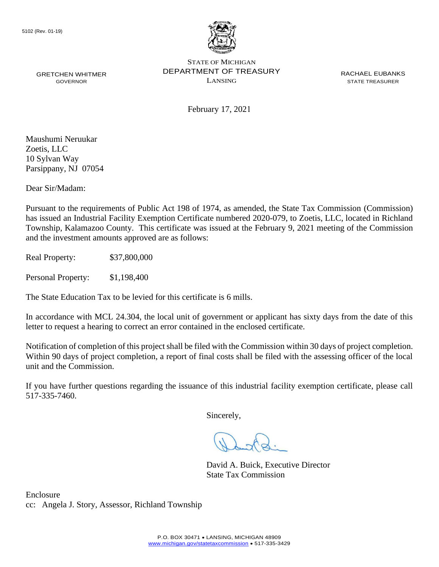

GRETCHEN WHITMER **EXAMPLE PERARTMENT OF TREASURY** EXACT ACHAEL EUBANKS STATE OF MICHIGAN GOVERNOR LANSING STATE TREASURER

February 17, 2021

 Parsippany, NJ 07054 Maushumi Neruukar Zoetis, LLC 10 Sylvan Way

Dear Sir/Madam:

Pursuant to the requirements of Public Act 198 of 1974, as amended, the State Tax Commission (Commission) has issued an Industrial Facility Exemption Certificate numbered 2020-079, to Zoetis, LLC, located in Richland Township, Kalamazoo County. This certificate was issued at the February 9, 2021 meeting of the Commission and the investment amounts approved are as follows:

Real Property: \$37,800,000

Personal Property: \$1,198,400

The State Education Tax to be levied for this certificate is 6 mills.

In accordance with MCL 24.304, the local unit of government or applicant has sixty days from the date of this letter to request a hearing to correct an error contained in the enclosed certificate.

Notification of completion of this project shall be filed with the Commission within 30 days of project completion. Within 90 days of project completion, a report of final costs shall be filed with the assessing officer of the local unit and the Commission.

 If you have further questions regarding the issuance of this industrial facility exemption certificate, please call 517-335-7460.

Sincerely,

David A. Buick, Executive Director State Tax Commission

Enclosure cc: Angela J. Story, Assessor, Richland Township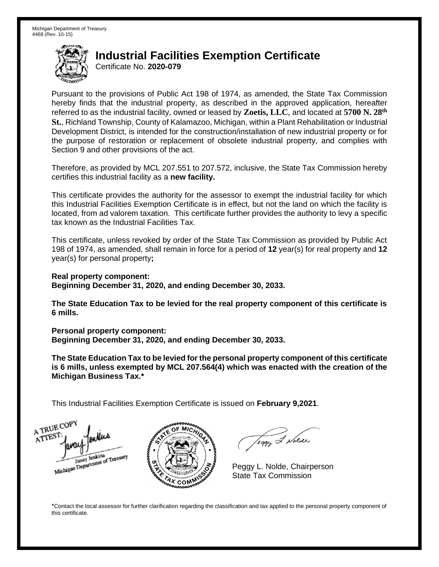## **Industrial Facilities Exemption Certificate**

Certificate No. **2020-079** 

 Pursuant to the provisions of Public Act 198 of 1974, as amended, the State Tax Commission hereby finds that the industrial property, as described in the approved application, hereafter referred to as the industrial facility, owned or leased by **Zoetis, LLC**, and located at **5700 N. 28th St.**, Richland Township, County of Kalamazoo, Michigan, within a Plant Rehabilitation or Industrial Development District, is intended for the construction/installation of new industrial property or for the purpose of restoration or replacement of obsolete industrial property, and complies with Section 9 and other provisions of the act.

 Therefore, as provided by MCL 207.551 to 207.572, inclusive, the State Tax Commission hereby certifies this industrial facility as a **new facility.** 

 This certificate provides the authority for the assessor to exempt the industrial facility for which this Industrial Facilities Exemption Certificate is in effect, but not the land on which the facility is located, from ad valorem taxation. This certificate further provides the authority to levy a specific tax known as the Industrial Facilities Tax.

 This certificate, unless revoked by order of the State Tax Commission as provided by Public Act 198 of 1974, as amended, shall remain in force for a period of **12** year(s) for real property and **12**  year(s) for personal property**;** 

 **Real property component: Beginning December 31, 2020, and ending December 30, 2033.** 

 **The State Education Tax to be levied for the real property component of this certificate is 6 mills.** 

 **Personal property component:** 

 **Beginning December 31, 2020, and ending December 30, 2033.** 

 **The State Education Tax to be levied for the personal property component of this certificate is 6 mills, unless exempted by MCL 207.564(4) which was enacted with the creation of the Michigan Business Tax.\*** 

This Industrial Facilities Exemption Certificate is issued on **February 9,2021**.

A TRUE COP ATTEST Janay Jenkins<br>Michigan Department of Treasury



Teggy & Nolde

Peggy L. Nolde, Chairperson State Tax Commission

 \*Contact the local assessor for further clarification regarding the classification and tax applied to the personal property component of this certificate.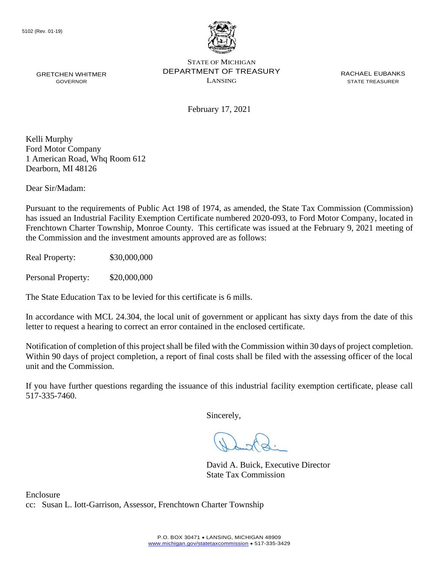

GRETCHEN WHITMER **EXAMPLE PERARTMENT OF TREASURY** EXACT ACHAEL EUBANKS STATE OF MICHIGAN GOVERNOR LANSING STATE TREASURER

February 17, 2021

Kelli Murphy Ford Motor Company 1 American Road, Whq Room 612 Dearborn, MI 48126

Dear Sir/Madam:

Pursuant to the requirements of Public Act 198 of 1974, as amended, the State Tax Commission (Commission) has issued an Industrial Facility Exemption Certificate numbered 2020-093, to Ford Motor Company, located in Frenchtown Charter Township, Monroe County. This certificate was issued at the February 9, 2021 meeting of the Commission and the investment amounts approved are as follows:

Real Property: \$30,000,000

Personal Property: \$20,000,000

The State Education Tax to be levied for this certificate is 6 mills.

In accordance with MCL 24.304, the local unit of government or applicant has sixty days from the date of this letter to request a hearing to correct an error contained in the enclosed certificate.

Notification of completion of this project shall be filed with the Commission within 30 days of project completion. Within 90 days of project completion, a report of final costs shall be filed with the assessing officer of the local unit and the Commission.

 If you have further questions regarding the issuance of this industrial facility exemption certificate, please call 517-335-7460.

Sincerely,

David A. Buick, Executive Director State Tax Commission

Enclosure cc: Susan L. Iott-Garrison, Assessor, Frenchtown Charter Township